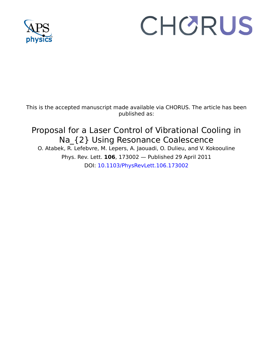

## CHORUS

This is the accepted manuscript made available via CHORUS. The article has been published as:

## Proposal for a Laser Control of Vibrational Cooling in Na\_{2} Using Resonance Coalescence

O. Atabek, R. Lefebvre, M. Lepers, A. Jaouadi, O. Dulieu, and V. Kokoouline Phys. Rev. Lett. **106**, 173002 — Published 29 April 2011 DOI: [10.1103/PhysRevLett.106.173002](http://dx.doi.org/10.1103/PhysRevLett.106.173002)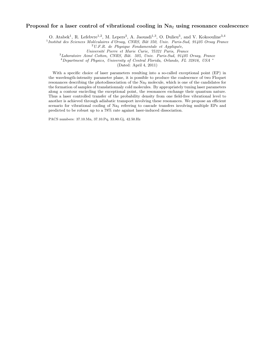## Proposal for a laser control of vibrational cooling in  $Na<sub>2</sub>$  using resonance coalescence

O. Atabek<sup>1</sup>, R. Lefebvre<sup>1,2</sup>, M. Lepers<sup>3</sup>, A. Jaouadi<sup>1,3</sup>, O. Dulieu<sup>3</sup>, and V. Kokoouline<sup>3,4</sup>

<sup>1</sup> Institut des Sciences Moléculaires d'Orsay, CNRS, Bât 350, Univ. Paris-Sud, 91405 Orsay France

 $2 U.F.R.$  de Physique Fondamentale et Appliquée,

Université Pierre et Marie Curie, 75321 Paris, France

 $3$ Laboratoire Aimé Cotton, CNRS, Bât. 505, Univ. Paris-Sud, 91405 Orsay, France

<sup>4</sup>Department of Physics, University of Central Florida, Orlando, FL 32816, USA <sup>∗</sup>

(Dated: April 4, 2011)

io for vibrational cooling of Na<sub>2</sub> referring to cascade transfers inversed to be robust up to a 78% rate against laser-induced dissociation numbers: 37.10.Mn, 37.10.Pq, 33.80.Gj, 42.50.Hz along a contour encircling the exceptional point, the resonances scalinge their quantum nature. Thus a laser controlled transfer of the probability durinty from one field-free vibrational level to another is achieved thro With a specific choice of laser parameters resulting into a so-called exceptional point (EP) in the wavelength-intensity parameter plane, it is possible to produce the coalescence of two Floquet resonances describing the photodissociation of the Na<sup>2</sup> molecule, which is one of the candidates for the formation of samples of translationnaly cold molecules. By appropriately tuning laser parameters along a contour encircling the exceptional point, the resonances exchange their quantum nature. Thus a laser controlled transfer of the probability density from one field-free vibrational level to another is achieved through adiabatic transport involving these resonances. We propose an efficient scenario for vibrational cooling of Na<sub>2</sub> referring to cascade transfers involving multiple EPs and predicted to be robust up to a 78% rate against laser-induced dissociation.

PACS numbers: 37.10.Mn, 37.10.Pq, 33.80.Gj, 42.50.Hz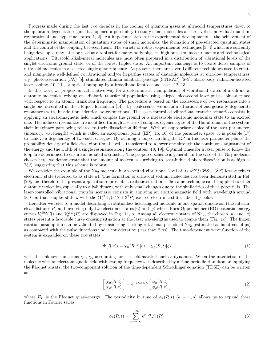Progress made during the last two decades in the cooling of quantum gases at ultracold temperatures down to the quantum degenerate regime has opened a possibility to study small molecules at the level of individual quantum rovibrational and hyperfine states [1, 2]. An important step in the experimental developments is the achievement of the deterministic manipulation of quantum states of small molecules, the formation of pre-selected quantum states and the control of the coupling between them. The variety of robust experimental techniques [3, 4] which are currently being developed may later be used as a tool set for many-body physics, high precision measurements and technological applications. Ultracold alkali-metal molecules are most often prepared in a distribution of vibrational levels of the singlet electronic ground state, or of the lowest triplet state. An important challenge is to create dense samples of ultracold molecules in a selected single quantum state. At present, there are several different techniques used to create and manipulate well-defined rovibrational and/or hyperfine states of diatomic molecules at ultralow temperatures, e.g. photoassociation  $(PA)$  [5], stimulated Raman adiabatic passage (STIRAP) [6–9], black-body radiation-assisted laser cooling [10, 11], or optical pumping by a broadband femtosecond laser [12, 13].

In this work we propose an alternative way for a deterministic manipulation of vibrational states of alkali-metal diatomic molecules, relying on adiabatic transfer of population using chirped picosecond laser pulses, blue-detuned with respect to an atomic transition frequency. The procedure is based on the coalescence of two resonances into a single one described in the Floquet formalism [14]. By coalescence we mean a situation of energetically degenerate resonances with, in addition, identical wave-functions. The laser-controlled vibrational transfer scenario consists in applying an electromagnetic field which couples the ground or a metastable electronic molecular state to an excited one. The induced resonances are identified through a series of complex eigenenergies of the Hamiltonian of the system, their imaginary part being related to their dissociation lifetime. With an appropriate choice of the laser parameters (intensity, wavelength) which is called an exceptional point (EP) [15, 16] of the parameter space, it is possible [17] to achieve a degeneracy of two such energies. By defining a loop encircling the EP in the laser parameter plane, the probability density of a field-free vibrational level is transferred to a lower one through the continuous adjustment of the energy and the width of a single resonance along the contour [18, 19]. Optimal times for a laser pulse to follow the loop are determined to ensure an adiabatic transfer. The proposed scheme is general. In the case of the  $Na<sub>2</sub>$  molecule chosen here, we demonstrate that the amount of molecules surviving to laser-induced photodissociation is as high as 78%, suggesting that this scheme is robust.

We consider the example of the Na<sub>2</sub> molecule in an excited vibrational level of its  $a^3\Sigma_u^+(3^2S+3^2S)$  lowest triplet electronic state (referred to as state  $u$ ). The formation of ultracold sodium molecules has been demonstrated in Ref. [20], and therefore the present application represents a realistic situation. The same technique can be applied to other diatomic molecules, especially to alkali dimers, with only small changes due to the similarities of their potentials. The laser-controlled vibrational transfer scenario consists in applying an electromagnetic field with wavelength around 560 nm that couples state u with the  $(1)^3\Pi_q(3^2S+3^2P)$  excited electronic state, labeled g below.

Hereafter we refer to a model describing a rotationless field-aligned molecule in one spatial dimension (the internuclear distance R) and involving only two electronic states  $|u\rangle$  and  $|g\rangle$  whose Born-Oppenheimer (BO) potential energy curves  $V_u^{BO}(R)$  and  $V_g^{BO}(R)$  are displayed in Fig. 1a, b. Among all electronic states of Na<sub>2</sub>, the chosen  $|u\rangle$  and  $|g\rangle$ states present a favorable curve crossing situation at the laser wavelengths used to couple them (Fig. 1c). The frozen rotation assumption can be validated by considering the long rotational periods of Na<sub>2</sub> (estimated as hundreds of ps) as compared with the pulse durations under consideration (less than 2 ps). The time-dependent wave function of the system is expanded on these two states

$$
|\Psi(R,t)\rangle = \chi_u(R,t)|u\rangle + \chi_g(R,t)|g\rangle, \qquad (1)
$$

with the unknown functions  $\chi_u$ ,  $\chi_g$  accounting for the field-assisted nuclear dynamics. When the interaction of the molecule with an electromagnetic field with leading frequency  $\omega$  is described by a time-periodic Hamiltonian, applying the Floquet ansatz, the two-component solution of the time-dependent Schrödinger equation (TDSE) can be written as

$$
\begin{bmatrix}\n\chi_u(R,t) \\
\chi_g(R,t)\n\end{bmatrix} = e^{-iE_F t/\hbar} \begin{bmatrix}\n\phi_u(R,t) \\
\phi_g(R,t)\n\end{bmatrix}
$$
\n(2)

where  $E_F$  is the Floquet quasi-energy. The periodicity in time of  $\phi_k(R, t)$   $(k = u, g)$  allows us to expand these functions in Fourier series

$$
\phi_k(R,t) = \sum_{n=-\infty}^{+\infty} e^{in\omega t} \varphi_k^n(R).
$$
\n(3)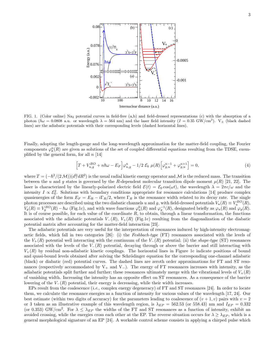

FIG. 1. (Color online) Na<sup>2</sup> potential curves in field-free (a,b) and field-dressed representations (c) with the absorption of a photon  $(\hbar\omega = 0.0808 \text{ a.u.}$  or wavelength  $\lambda = 564 \text{ nm}$ ) and the laser field intensity  $(I = 0.35 \text{ GW/cm}^2)$ . V<sub>±</sub> (black dashed lines) are the adiabatic potentials with their corresponding levels (dashed horizontal lines).

Finally, adopting the length-gauge and the long-wavelength approximation for the matter-field coupling, the Fourier components  $\varphi_k^n(R)$  are given as solutions of the set of coupled differential equations resulting from the TDSE, exemplified by the general form, for all  $n \vert 14 \vert$ 

$$
\[T + V_{u,g}^{BO} + n\hbar\omega - E_F\] \varphi_{u,g}^n - 1/2 \mathcal{E}_0 \ \mu(R) \Big[ \varphi_{g,u}^{n-1} + \varphi_{g,u}^{n+1} \Big] = 0,\tag{4}
$$

where  $T = (-\hbar^2/(2\mathcal{M}))(d^2/dR^2)$  is the usual radial kinetic energy operator and M is the reduced mass. The transition between the u and g states is governed by the R-dependent molecular transition dipole moment  $\mu(R)$  [21, 22]. The laser is characterized by the linearly-polarized electric field  $\mathcal{E}(t) = \mathcal{E}_0 \cos(\omega t)$ , the wavelength  $\lambda = 2\pi c/\omega$  and the intensity  $I \propto \mathcal{E}_0^2$ . Solutions with boundary conditions appropriate for resonance calculations [14] produce complex quasienergies of the form  $E_F = E_R - i\Gamma_R/2$ , where  $\Gamma_R$  is the resonance width related to its decay rate. The single photon processes are described using the two diabatic channels u and g, with field-dressed potentials  $V_u(R) \equiv V_u^{BO}(R)$ ,  $V_g(R) \equiv V_g^{BO}(R) - \hbar \omega$  (Fig.1c), and with wave functions  $\varphi_u^0(R)$  and  $\varphi_g^{-1}(R)$ , designated briefly as  $\varphi_u(R)$  and  $\varphi_g(R)$ . It is of course possible, for each value of the coordinate  $R$ , to obtain, through a linear transformation, the functions associated with the adiabatic potentials  $V_-(R)$ ,  $V_+(R)$  (Fig.1c) resulting from the diagonalization of the diabatic potential matrix after accounting for the matter-field interaction [23].

The adiabatic potentials are very useful for the interpretation of resonances induced by high-intensity electromagnetic fields, which fall in two categories [26]: (i) the Feshbach-type (FT) resonances associated with the levels of the  $V_{+}(R)$  potential well interacting with the continuum of the  $V_{-}(R)$  potential; (ii) the *shape-type* (ST) resonances associated with the levels of the  $V_-(R)$  potential, decaying through or above the barrier and still interacting with  $V_{+}(R)$  by residual non-adiabatic kinetic couplings. The horizontal lines in Figure 1c indicate positions of bound and quasi-bound levels obtained after solving the Schrödinger equation for the corresponding one-channel adiabatic (black) or diabatic (red) potential curves. The dashed lines are zeroth order approximations for FT and ST resonances (respectively accommodated by V<sub>+</sub> and V<sub>−</sub>). The energy of FT resonances increases with intensity, as the adiabatic potentials split further and further; these resonances ultimately merge with the vibrational levels of  $V_{+}(R)$ of vanishing width. Increasing the intensity has an opposite effect on ST resonances. As a consequence of the barrier lowering of the  $V_-(R)$  potential, their energy is decreasing, while their width increases.

EPs result from the coalescence (*i.e.*, complex energy degeneracy) of FT and ST resonances [24]. In order to locate them, we calculate the resonance energies as a function of intensity for various values of the wavelength [17, 24]. Our best estimate (within two digits of accuracy) for the parameters leading to coalescence of  $(v + 1, v)$  pairs with  $v = 2$ or 3 taken as an illustrative example of this wavelength region, is  $\lambda_{EP} = 562.53$  (or 558.43) nm and  $I_{EP} = 0.332$ (or 0.353) GW/cm<sup>2</sup>. For  $\lambda \leq \lambda_{EP}$  the widths of the FT and ST resonances as a function of intensity, exhibit an avoided crossing, while the energies cross each other at the EP. The reverse situation occurs for  $\lambda \geq \lambda_{EP}$ , which is a general morphological signature of an EP [24]. A workable control scheme consists in applying a chirped pulse which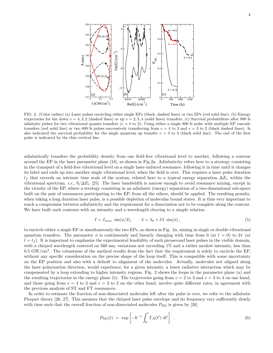

FIG. 2. (Color online) (a) Laser pulses encircling either single EPs (black, dashed lines) or two EPs (red solid line), (b) Energy trajectories for the down  $v = 4, 3, 2$  (dashed lines) or up  $v = 2, 3, 4$  (solid lines) transfers, (c) Survival probabilities after 800 fs adiabatic pulses for two vibrational quanta transfers  $(v = 4 \text{ to } 2)$ : Using either a single 800 fs pulse with multiple EP cascade transfers (red solid line) or two 800 fs pulses successively transferring from  $v = 4$  to 3 and  $v = 3$  to 2 (black dashed lines). Is also indicated the survival probability for the single quantum up transfer  $v = 3$  to 4 (black solid line). The end of the first pulse is indicated by the thin vertical line.

adiabatically transfers the probability density from one field-free vibrational level to another, following a contour around the EP in the laser parameter plane [18], as shown in Fig.2a. Adiabaticity refers here to a strategy consisting in the transport of a field-free vibrational level on a single laser-induced resonance, following it in time until it changes its label and ends up into another single vibrational level, when the field is over. This requires a laser pulse duration  $t_f$  that exceeds an intrinsic time scale of the system, related here to a typical energy separation  $\Delta E_v$  within the vibrational spectrum, *i.e.*,  $\hbar/\Delta E_v$  [25]. The laser bandwidth is narrow enough to avoid resonance mixing, except in the vicinity of the EP, where a strategy consisting in an adiabatic (energy) separation of a two-dimensional sub-space built on the pair of resonances participating to the EP, from all the others, should be applied. The resulting penalty, when taking a long duration laser pulse, is a possible depletion of molecular bound states. It is thus very important to reach a compromise between adiabaticity and the requirement for a dissociation not to be complete along the contour. We have built such contours with an intensity and a wavelength obeying to a simple relation

$$
I = I_{max} \sin(\phi/2), \qquad \lambda = \lambda_0 + \delta \lambda \sin(\phi), \qquad (5)
$$

to encircle either a single EP or simultaneously the two EPs, as shown in Fig. 2a, aiming in single or double vibrational quantum transfers. The parameter  $\phi$  is continuously and linearly changing with time from 0 (at  $t = 0$ ) to  $2\pi$  (at  $t = t<sub>f</sub>$ ). It is important to emphasize the experimental feasibility of such picosecond laser pulses in the visible domain, with a chirped wavelength centered on 560 nm, variations not exceeding 1% and a rather modest intensity, less than  $0.5 \text{ GW/cm}^2$ . The robustness of the method results from the fact that the requirement is solely to encircle the EP, without any specific consideration on the precise shape of the loop itself. This is compatible with some uncertainty on the EP position and also with a default to alignment of the molecules. Actually, molecules not aligned along the laser polarization direction, would experience, for a given intensity, a lower radiative interaction which may be compensated by a loop extending to higher intensity regions. Fig. 2 shows the loops in the parameter plane (a) and the resulting trajectories in the energy plane (b). The trajectories going from  $v = 2$  to 3 and  $v = 3$  to 4 on one hand, and those going from  $v = 4$  to 3 and  $v = 3$  to 2 on the other hand, involve quite different rates, in agreement with the previous analysis of ST and FT resonances.

In order to estimate the fraction of non-dissociated molecules left after the pulse is over, we refer to the adiabatic Floquet theory [26, 27]. This assumes that the chirped laser pulse envelope and its frequency vary sufficiently slowly with time such that the overall fraction of non-dissociated molecules  $P_{ND}$  is given by [26]

$$
P_{\rm ND}(t) = \exp\left[-\hbar^{-1} \int_0^t \Gamma_R(t') dt'\right] \quad . \tag{6}
$$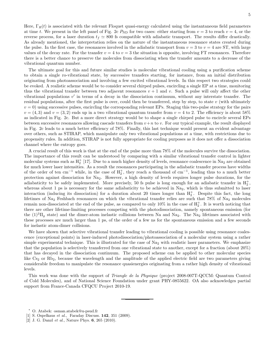Here,  $\Gamma_R(t)$  is associated with the relevant Floquet quasi-energy calculated using the instantaneous field parameters at time t. We present in the left panel of Fig. 2c  $P_{ND}$  for two cases: either starting from  $v = 3$  to reach  $v = 4$ , or the reverse process, for a laser duration  $t_f \approx 800$  fs compatible with adiabatic transport. The results differ drastically. As already mentioned, the interpretation relies on the nature of the instantaneous resonance states created during the pulse. In the first case, the resonances involved in the adiabatic transport from  $v = 3$  to  $v = 4$  are ST, with large values of the decay rate. For the transfer  $v = 4$  to  $v = 3$  the situation is opposite, involving FT resonances. Therefore there is a better chance to preserve the molecules from dissociating when the transfer amounts to a decrease of the vibrational quantum number.

The ultimate goal for this and future similar studies is molecular vibrational cooling using a purification scheme to obtain a single ro-vibrational state, by successive transfers starting, for instance, from an initial distribution originating from photoassociation and involving a few excited vibrational levels. In this respect two strategies could be evoked. A realistic scheme would be to consider several chirped pulses, encircling a single EP at a time, monitoring thus the vibrational transfer between two adjacent resonances  $v + 1$  and v. Such a pulse will only affect the other vibrational populations v' in terms of a decay in the dissociation continuum, without any interstate transfer. The residual populations, after the first pulse is over, could then be transferred, step by step, to state  $v$  (with ultimately  $v = 0$ ) using successive pulses, encircling the corresponding relevant EPs. Staging this two-pulse strategy for the pairs  $v = (4, 3)$  and  $v = (3, 2)$  ends up in a two vibrational quantum transfer from  $v = 4$  to 2. The efficiency is about 58% as indicated in Fig. 2c. But a more direct strategy would be to shape a single chirped pulse to encircle several EPs between successive resonances allowing cascade transfers from  $v+n$  to v. For our typical example, the result displayed in Fig. 2c leads to a much better efficiency of 78%. Finally, this last technique would present an evident advantage over others, such as STIRAP, which manipulate only two vibrational populations at a time, with restrictions due to propensity rules. In addition, STIRAP is not fully appropriate for cooling purposes as it does not offer a dissociation channel where the entropy goes.

A crucial result of this work is that at the end of the pulse more than 78% of the molecules survive the dissociation. The importance of this result can be understood by comparing with a similar vibrational transfer control in lighter molecular systems such as  $H_2^+$  [17]. Due to a much higher density of levels, resonance coalescence in Na<sub>2</sub> are obtained for much lower laser intensities. As a result the resonances participating in the adiabatic transfer process have widths of the order of ten cm<sup>-1</sup> while, in the case of  $H_2^+$ , they reach a thousand of cm<sup>-1</sup>, leading thus to a much better protection against dissociation for Na2. However, a high density of levels requires longer pulse durations, for the adiabaticity to be safely implemented. More precisely, 50 fs pulse is long enough for an adiabatic transfer in  $H_2^+$ , whereas about 1 ps is necessary for the same adiabaticity to be achieved in  $Na<sub>2</sub>$ , which is thus submitted to laser interaction (inducing its dissociation) for a duration about 20 times longer than  $H_2^+$ . Despite this fact, the long lifetimes of Na<sub>2</sub> Feshbach resonances on which the vibrational transfer relies are such that 78% of Na<sub>2</sub> molecules remain non-dissociated at the end of the pulse, as compared to only 10% in the case of  $H_2^+$ . It is worth noticing that there are other lifetime-limiting processes competing with the photodissociation, namely spontaneous emission (for the  $(1)^3\Pi_q$  state) and the dimer-atom inelastic collisions between Na and Na<sub>2</sub>. The Na<sub>2</sub> lifetimes associated with these processes are much larger than 1 ps, of the order of a few ns for the spontaneous emission and a few seconds for inelastic atom-dimer collisions.

We have shown that selective vibrational transfer leading to vibrational cooling is possible using resonance coalescence (exceptional points) in laser-induced photodissociation/photoassociation of a molecular system using a rather simple experimental technique. This is illustrated for the case of  $Na<sub>2</sub>$  with realistic laser parameters. We emphasize that the population is selectively transferred from one vibrational state to another, except for a fraction (about 20%) that has decayed in the dissociation continuum. The proposed scheme can be applied to other molecular species like Cs<sub>2</sub> or Rb<sub>2</sub>, because the wavelength and the amplitude of the applied electric field are two parameters giving considerable freedom to manipulate the resonance quasienergies originating from a rather high density of vibrational levels.

This work was done with the support of Triangle de la Physique (project 2008-007T-QCCM: Quantum Control of Cold Molecules), and of National Science Foundation under grant PHY-0855622. OA also acknowledges partial support from France-Canada CFQCU Project 2010-19.

<sup>∗</sup> O. Atabek: osman.atabek@u-psud.fr

<sup>[1]</sup> S. Ospelkaus et al., Faraday Discuss. 142, 351 (2009).

<sup>[2]</sup> J. G. Danzl et al., Nature Phys. **6**, 265 (2010).